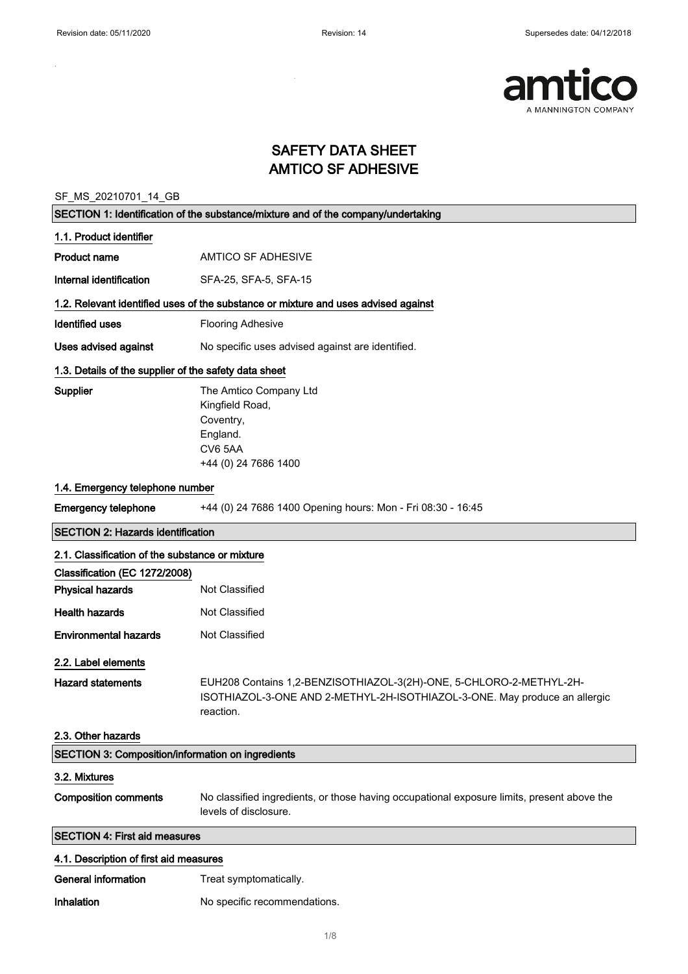$\sim$ 

÷,



### SAFETY DATA SHEET AMTICO SF ADHESIVE

SF\_MS\_20210701\_14\_GB

|                                                       | SECTION 1: Identification of the substance/mixture and of the company/undertaking                                                                              |
|-------------------------------------------------------|----------------------------------------------------------------------------------------------------------------------------------------------------------------|
| 1.1. Product identifier                               |                                                                                                                                                                |
| <b>Product name</b>                                   | AMTICO SF ADHESIVE                                                                                                                                             |
| Internal identification                               | SFA-25, SFA-5, SFA-15                                                                                                                                          |
|                                                       | 1.2. Relevant identified uses of the substance or mixture and uses advised against                                                                             |
| <b>Identified uses</b>                                | <b>Flooring Adhesive</b>                                                                                                                                       |
| <b>Uses advised against</b>                           | No specific uses advised against are identified.                                                                                                               |
| 1.3. Details of the supplier of the safety data sheet |                                                                                                                                                                |
| Supplier                                              | The Amtico Company Ltd<br>Kingfield Road,<br>Coventry,<br>England.<br>CV6 5AA<br>+44 (0) 24 7686 1400                                                          |
| 1.4. Emergency telephone number                       |                                                                                                                                                                |
| <b>Emergency telephone</b>                            | +44 (0) 24 7686 1400 Opening hours: Mon - Fri 08:30 - 16:45                                                                                                    |
| <b>SECTION 2: Hazards identification</b>              |                                                                                                                                                                |
| 2.1. Classification of the substance or mixture       |                                                                                                                                                                |
| Classification (EC 1272/2008)                         |                                                                                                                                                                |
| <b>Physical hazards</b>                               | Not Classified                                                                                                                                                 |
| <b>Health hazards</b>                                 | Not Classified                                                                                                                                                 |
| <b>Environmental hazards</b>                          | Not Classified                                                                                                                                                 |
| 2.2. Label elements                                   |                                                                                                                                                                |
| <b>Hazard statements</b><br>2.3. Other hazards        | EUH208 Contains 1,2-BENZISOTHIAZOL-3(2H)-ONE, 5-CHLORO-2-METHYL-2H-<br>ISOTHIAZOL-3-ONE AND 2-METHYL-2H-ISOTHIAZOL-3-ONE. May produce an allergic<br>reaction. |
| SECTION 3: Composition/information on ingredients     |                                                                                                                                                                |
| 3.2. Mixtures                                         |                                                                                                                                                                |
| <b>Composition comments</b>                           | No classified ingredients, or those having occupational exposure limits, present above the<br>levels of disclosure.                                            |
| <b>SECTION 4: First aid measures</b>                  |                                                                                                                                                                |
| 4.1. Description of first aid measures                |                                                                                                                                                                |
| <b>General information</b>                            | Treat symptomatically.                                                                                                                                         |
| Inhalation                                            | No specific recommendations.                                                                                                                                   |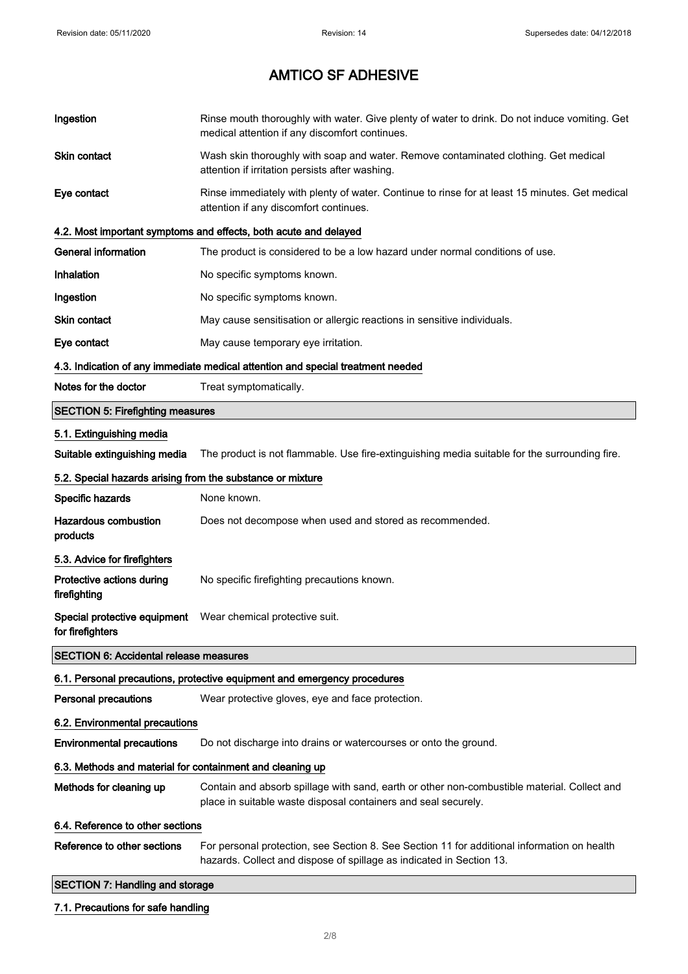| Ingestion                                                  | Rinse mouth thoroughly with water. Give plenty of water to drink. Do not induce vomiting. Get<br>medical attention if any discomfort continues.                     |
|------------------------------------------------------------|---------------------------------------------------------------------------------------------------------------------------------------------------------------------|
| Skin contact                                               | Wash skin thoroughly with soap and water. Remove contaminated clothing. Get medical<br>attention if irritation persists after washing.                              |
| Eye contact                                                | Rinse immediately with plenty of water. Continue to rinse for at least 15 minutes. Get medical<br>attention if any discomfort continues.                            |
|                                                            | 4.2. Most important symptoms and effects, both acute and delayed                                                                                                    |
| <b>General information</b>                                 | The product is considered to be a low hazard under normal conditions of use.                                                                                        |
| Inhalation                                                 | No specific symptoms known.                                                                                                                                         |
| Ingestion                                                  | No specific symptoms known.                                                                                                                                         |
| Skin contact                                               | May cause sensitisation or allergic reactions in sensitive individuals.                                                                                             |
| Eye contact                                                | May cause temporary eye irritation.                                                                                                                                 |
|                                                            | 4.3. Indication of any immediate medical attention and special treatment needed                                                                                     |
| Notes for the doctor                                       | Treat symptomatically.                                                                                                                                              |
| <b>SECTION 5: Firefighting measures</b>                    |                                                                                                                                                                     |
| 5.1. Extinguishing media                                   |                                                                                                                                                                     |
| Suitable extinguishing media                               | The product is not flammable. Use fire-extinguishing media suitable for the surrounding fire.                                                                       |
| 5.2. Special hazards arising from the substance or mixture |                                                                                                                                                                     |
| Specific hazards                                           | None known.                                                                                                                                                         |
| <b>Hazardous combustion</b><br>products                    | Does not decompose when used and stored as recommended.                                                                                                             |
| 5.3. Advice for firefighters                               |                                                                                                                                                                     |
| Protective actions during<br>firefighting                  | No specific firefighting precautions known.                                                                                                                         |
| for firefighters                                           | Special protective equipment  Wear chemical protective suit.                                                                                                        |
| <b>SECTION 6: Accidental release measures</b>              |                                                                                                                                                                     |
|                                                            | 6.1. Personal precautions, protective equipment and emergency procedures                                                                                            |
| <b>Personal precautions</b>                                | Wear protective gloves, eye and face protection.                                                                                                                    |
| 6.2. Environmental precautions                             |                                                                                                                                                                     |
| <b>Environmental precautions</b>                           | Do not discharge into drains or watercourses or onto the ground.                                                                                                    |
| 6.3. Methods and material for containment and cleaning up  |                                                                                                                                                                     |
| Methods for cleaning up                                    | Contain and absorb spillage with sand, earth or other non-combustible material. Collect and<br>place in suitable waste disposal containers and seal securely.       |
| 6.4. Reference to other sections                           |                                                                                                                                                                     |
| Reference to other sections                                | For personal protection, see Section 8. See Section 11 for additional information on health<br>hazards. Collect and dispose of spillage as indicated in Section 13. |
| <b>SECTION 7: Handling and storage</b>                     |                                                                                                                                                                     |
| 7.1. Precautions for safe handling                         |                                                                                                                                                                     |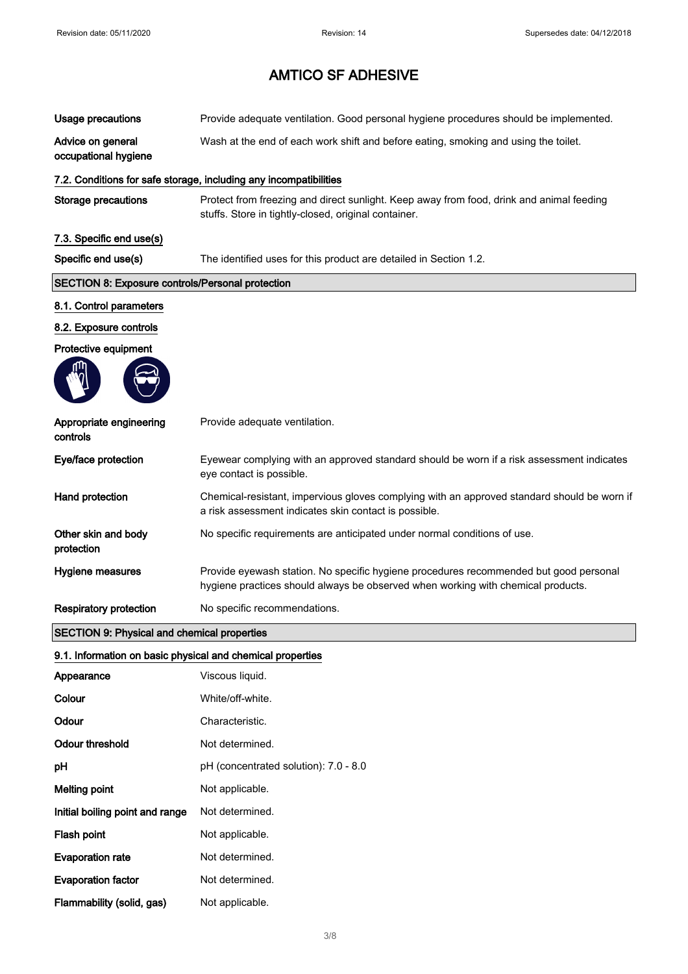| <b>Usage precautions</b>                                   | Provide adequate ventilation. Good personal hygiene procedures should be implemented.                                                                                     |
|------------------------------------------------------------|---------------------------------------------------------------------------------------------------------------------------------------------------------------------------|
| Advice on general<br>occupational hygiene                  | Wash at the end of each work shift and before eating, smoking and using the toilet.                                                                                       |
|                                                            | 7.2. Conditions for safe storage, including any incompatibilities                                                                                                         |
| <b>Storage precautions</b>                                 | Protect from freezing and direct sunlight. Keep away from food, drink and animal feeding<br>stuffs. Store in tightly-closed, original container.                          |
| 7.3. Specific end use(s)                                   |                                                                                                                                                                           |
| Specific end use(s)                                        | The identified uses for this product are detailed in Section 1.2.                                                                                                         |
| <b>SECTION 8: Exposure controls/Personal protection</b>    |                                                                                                                                                                           |
| 8.1. Control parameters                                    |                                                                                                                                                                           |
| 8.2. Exposure controls                                     |                                                                                                                                                                           |
| Protective equipment                                       |                                                                                                                                                                           |
|                                                            |                                                                                                                                                                           |
| Appropriate engineering<br>controls                        | Provide adequate ventilation.                                                                                                                                             |
| Eye/face protection                                        | Eyewear complying with an approved standard should be worn if a risk assessment indicates<br>eye contact is possible.                                                     |
| Hand protection                                            | Chemical-resistant, impervious gloves complying with an approved standard should be worn if<br>a risk assessment indicates skin contact is possible.                      |
| Other skin and body<br>protection                          | No specific requirements are anticipated under normal conditions of use.                                                                                                  |
| Hygiene measures                                           | Provide eyewash station. No specific hygiene procedures recommended but good personal<br>hygiene practices should always be observed when working with chemical products. |
| <b>Respiratory protection</b>                              | No specific recommendations.                                                                                                                                              |
| <b>SECTION 9: Physical and chemical properties</b>         |                                                                                                                                                                           |
| 9.1. Information on basic physical and chemical properties |                                                                                                                                                                           |
| Appearance                                                 | Viscous liquid.                                                                                                                                                           |
| Colour                                                     | White/off-white.                                                                                                                                                          |
| Odour                                                      | Characteristic.                                                                                                                                                           |
| <b>Odour threshold</b>                                     | Not determined.                                                                                                                                                           |
| pH                                                         | pH (concentrated solution): 7.0 - 8.0                                                                                                                                     |
| <b>Melting point</b>                                       | Not applicable.                                                                                                                                                           |
| Initial boiling point and range                            | Not determined.                                                                                                                                                           |
| Flash point                                                | Not applicable.                                                                                                                                                           |
| <b>Evaporation rate</b>                                    | Not determined.                                                                                                                                                           |
|                                                            |                                                                                                                                                                           |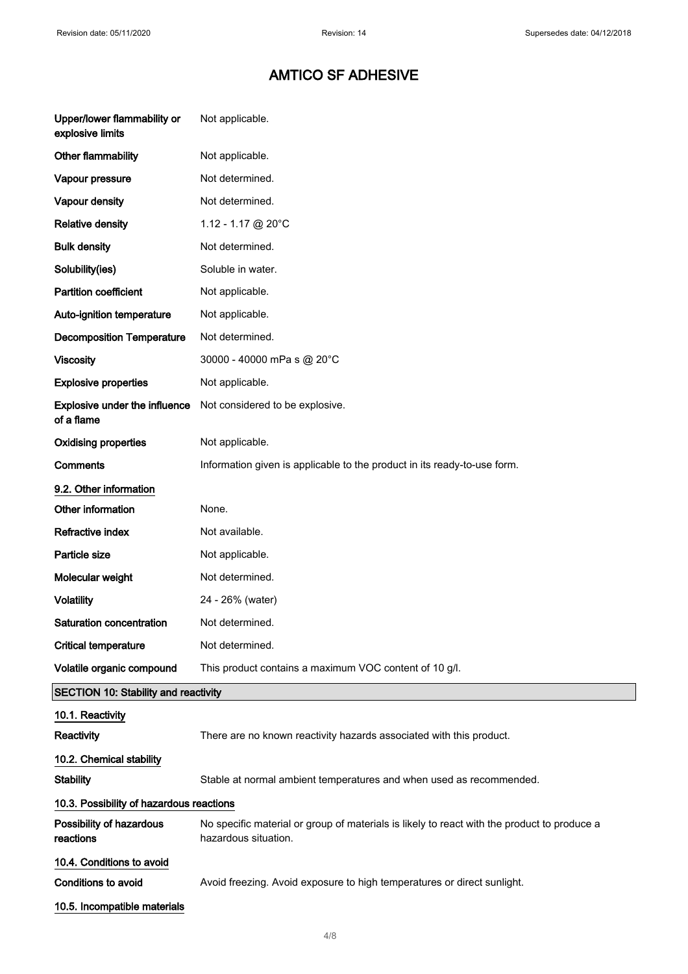$\overline{\phantom{0}}$ 

| Upper/lower flammability or<br>explosive limits | Not applicable.                                                                                                     |
|-------------------------------------------------|---------------------------------------------------------------------------------------------------------------------|
| Other flammability                              | Not applicable.                                                                                                     |
| Vapour pressure                                 | Not determined.                                                                                                     |
| <b>Vapour density</b>                           | Not determined.                                                                                                     |
| <b>Relative density</b>                         | 1.12 - 1.17 @ 20°C                                                                                                  |
| <b>Bulk density</b>                             | Not determined.                                                                                                     |
| Solubility(ies)                                 | Soluble in water.                                                                                                   |
| <b>Partition coefficient</b>                    | Not applicable.                                                                                                     |
| <b>Auto-ignition temperature</b>                | Not applicable.                                                                                                     |
| <b>Decomposition Temperature</b>                | Not determined.                                                                                                     |
| <b>Viscosity</b>                                | 30000 - 40000 mPa s @ 20°C                                                                                          |
| <b>Explosive properties</b>                     | Not applicable.                                                                                                     |
| Explosive under the influence<br>of a flame     | Not considered to be explosive.                                                                                     |
| <b>Oxidising properties</b>                     | Not applicable.                                                                                                     |
| Comments                                        | Information given is applicable to the product in its ready-to-use form.                                            |
| 9.2. Other information                          |                                                                                                                     |
| Other information                               | None.                                                                                                               |
| Refractive index                                | Not available.                                                                                                      |
| Particle size                                   | Not applicable.                                                                                                     |
| Molecular weight                                | Not determined.                                                                                                     |
| <b>Volatility</b>                               | 24 - 26% (water)                                                                                                    |
| Saturation concentration                        | Not determined.                                                                                                     |
| <b>Critical temperature</b>                     | Not determined.                                                                                                     |
| Volatile organic compound                       | This product contains a maximum VOC content of 10 g/l.                                                              |
| <b>SECTION 10: Stability and reactivity</b>     |                                                                                                                     |
| 10.1. Reactivity                                |                                                                                                                     |
| Reactivity                                      | There are no known reactivity hazards associated with this product.                                                 |
| 10.2. Chemical stability                        |                                                                                                                     |
| <b>Stability</b>                                | Stable at normal ambient temperatures and when used as recommended.                                                 |
| 10.3. Possibility of hazardous reactions        |                                                                                                                     |
| Possibility of hazardous<br>reactions           | No specific material or group of materials is likely to react with the product to produce a<br>hazardous situation. |
| 10.4. Conditions to avoid                       |                                                                                                                     |
| <b>Conditions to avoid</b>                      | Avoid freezing. Avoid exposure to high temperatures or direct sunlight.                                             |
| 10.5. Incompatible materials                    |                                                                                                                     |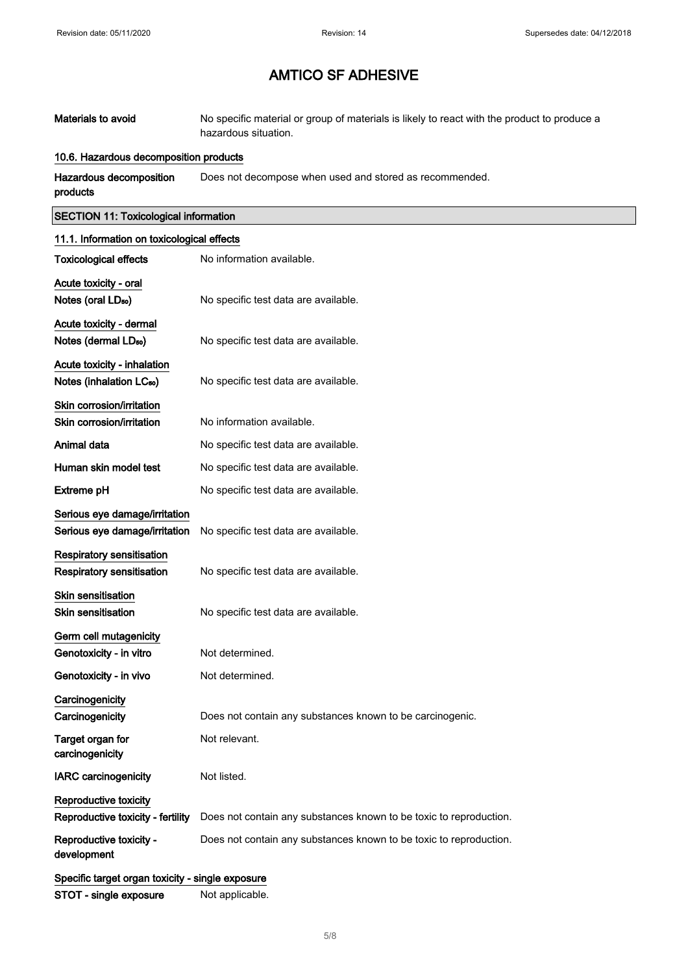| Materials to avoid | No specific material or group of materials is likely to react with the product to produce a |
|--------------------|---------------------------------------------------------------------------------------------|
|                    | hazardous situation.                                                                        |

#### 10.6. Hazardous decomposition products

Hazardous decomposition products Does not decompose when used and stored as recommended.

#### SECTION 11: Toxicological information

| 11.1. Information on toxicological effects       |                                                                    |
|--------------------------------------------------|--------------------------------------------------------------------|
| <b>Toxicological effects</b>                     | No information available.                                          |
| Acute toxicity - oral                            |                                                                    |
| Notes (oral LD <sub>50</sub> )                   | No specific test data are available.                               |
| Acute toxicity - dermal                          |                                                                    |
| Notes (dermal LDso)                              | No specific test data are available.                               |
| Acute toxicity - inhalation                      |                                                                    |
| Notes (inhalation LC <sub>50</sub> )             | No specific test data are available.                               |
| Skin corrosion/irritation                        |                                                                    |
| Skin corrosion/irritation                        | No information available.                                          |
| Animal data                                      | No specific test data are available.                               |
| Human skin model test                            | No specific test data are available.                               |
| Extreme pH                                       | No specific test data are available.                               |
| Serious eye damage/irritation                    |                                                                    |
| Serious eye damage/irritation                    | No specific test data are available.                               |
| <b>Respiratory sensitisation</b>                 |                                                                    |
| <b>Respiratory sensitisation</b>                 | No specific test data are available.                               |
| <b>Skin sensitisation</b>                        |                                                                    |
| <b>Skin sensitisation</b>                        | No specific test data are available.                               |
| Germ cell mutagenicity                           |                                                                    |
| Genotoxicity - in vitro                          | Not determined.                                                    |
| Genotoxicity - in vivo                           | Not determined.                                                    |
| Carcinogenicity                                  |                                                                    |
| Carcinogenicity                                  | Does not contain any substances known to be carcinogenic.          |
| Target organ for<br>carcinogenicity              | Not relevant.                                                      |
| <b>IARC</b> carcinogenicity                      | Not listed.                                                        |
| Reproductive toxicity                            |                                                                    |
| Reproductive toxicity - fertility                | Does not contain any substances known to be toxic to reproduction. |
| Reproductive toxicity -<br>development           | Does not contain any substances known to be toxic to reproduction. |
| Specific target organ toxicity - single exposure |                                                                    |

STOT - single exposure Mot applicable.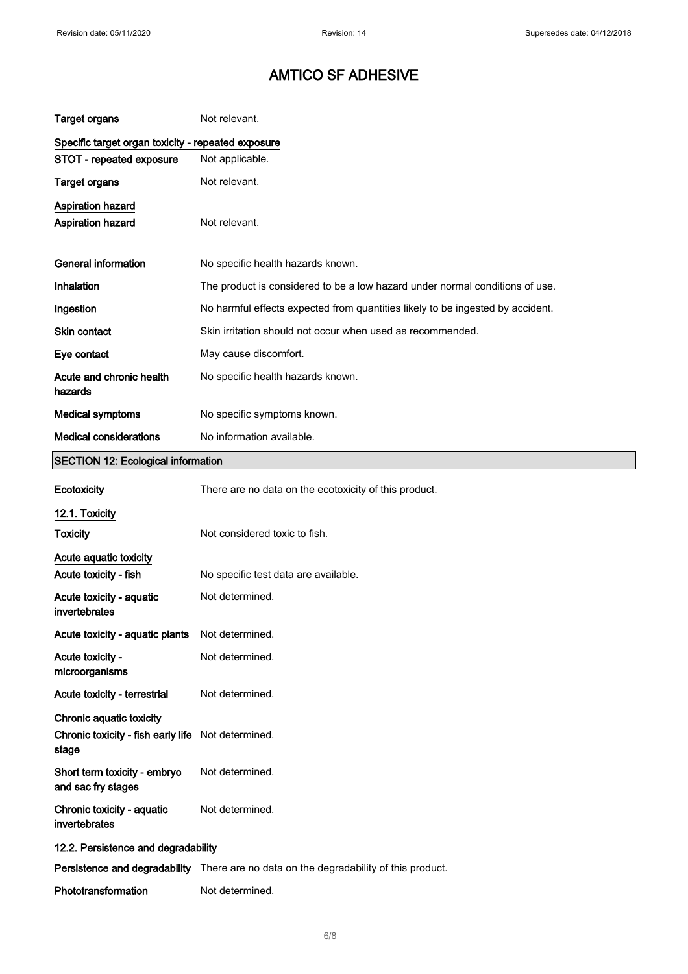| <b>Target organs</b>                                                    | Not relevant.                                                                         |
|-------------------------------------------------------------------------|---------------------------------------------------------------------------------------|
| Specific target organ toxicity - repeated exposure                      |                                                                                       |
| STOT - repeated exposure                                                | Not applicable.                                                                       |
| <b>Target organs</b>                                                    | Not relevant.                                                                         |
| Aspiration hazard<br>Aspiration hazard                                  | Not relevant.                                                                         |
| <b>General information</b>                                              | No specific health hazards known.                                                     |
| Inhalation                                                              | The product is considered to be a low hazard under normal conditions of use.          |
| Ingestion                                                               | No harmful effects expected from quantities likely to be ingested by accident.        |
| <b>Skin contact</b>                                                     | Skin irritation should not occur when used as recommended.                            |
| Eye contact                                                             | May cause discomfort.                                                                 |
| Acute and chronic health<br>hazards                                     | No specific health hazards known.                                                     |
| <b>Medical symptoms</b>                                                 | No specific symptoms known.                                                           |
| <b>Medical considerations</b>                                           | No information available.                                                             |
| <b>SECTION 12: Ecological information</b>                               |                                                                                       |
| Ecotoxicity                                                             | There are no data on the ecotoxicity of this product.                                 |
| 12.1. Toxicity                                                          |                                                                                       |
| <b>Toxicity</b>                                                         | Not considered toxic to fish.                                                         |
| Acute aquatic toxicity                                                  |                                                                                       |
| Acute toxicity - fish                                                   | No specific test data are available.                                                  |
| Acute toxicity - aquatic<br>invertebrates                               | Not determined.                                                                       |
| Acute toxicity - aquatic plants                                         | Not determined.                                                                       |
| Acute toxicity -<br>microorganisms                                      | Not determined.                                                                       |
| Acute toxicity - terrestrial                                            | Not determined.                                                                       |
| Chronic aquatic toxicity<br>Chronic toxicity - fish early life<br>stage | Not determined.                                                                       |
| Short term toxicity - embryo<br>and sac fry stages                      | Not determined.                                                                       |
| Chronic toxicity - aquatic<br>invertebrates                             | Not determined.                                                                       |
| 12.2. Persistence and degradability                                     |                                                                                       |
|                                                                         | Persistence and degradability There are no data on the degradability of this product. |
| Phototransformation                                                     | Not determined.                                                                       |

6/ 8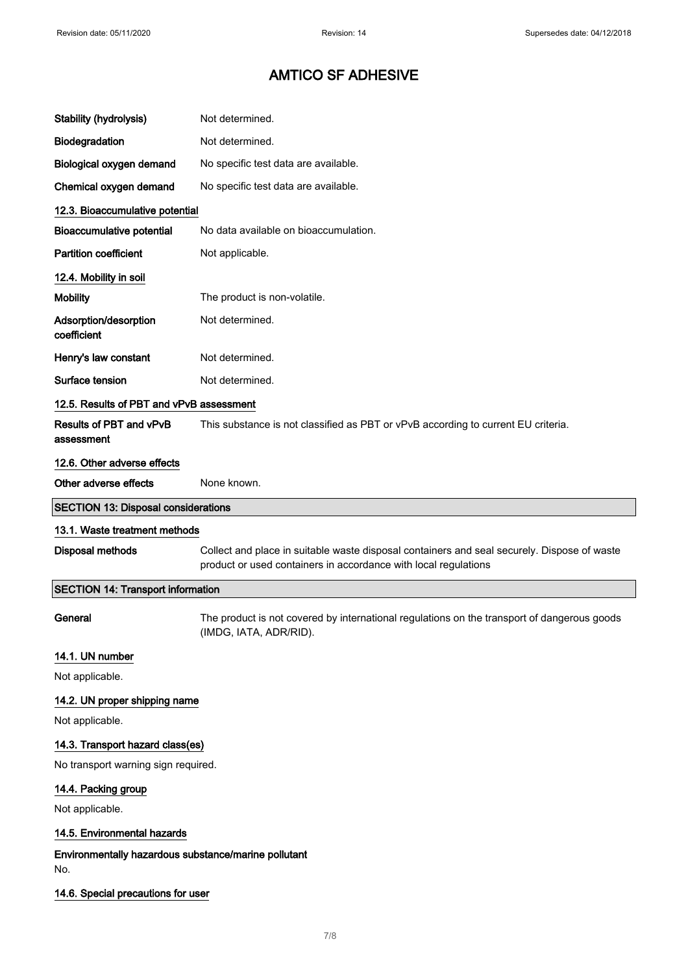| <b>Stability (hydrolysis)</b>                               | Not determined.                                                                                                                                                |
|-------------------------------------------------------------|----------------------------------------------------------------------------------------------------------------------------------------------------------------|
| Biodegradation                                              | Not determined.                                                                                                                                                |
| Biological oxygen demand                                    | No specific test data are available.                                                                                                                           |
| Chemical oxygen demand                                      | No specific test data are available.                                                                                                                           |
| 12.3. Bioaccumulative potential                             |                                                                                                                                                                |
| <b>Bioaccumulative potential</b>                            | No data available on bioaccumulation.                                                                                                                          |
| <b>Partition coefficient</b>                                | Not applicable.                                                                                                                                                |
| 12.4. Mobility in soil                                      |                                                                                                                                                                |
| <b>Mobility</b>                                             | The product is non-volatile.                                                                                                                                   |
| Adsorption/desorption<br>coefficient                        | Not determined.                                                                                                                                                |
| Henry's law constant                                        | Not determined.                                                                                                                                                |
| Surface tension                                             | Not determined.                                                                                                                                                |
| 12.5. Results of PBT and vPvB assessment                    |                                                                                                                                                                |
| Results of PBT and vPvB<br>assessment                       | This substance is not classified as PBT or vPvB according to current EU criteria.                                                                              |
| 12.6. Other adverse effects                                 |                                                                                                                                                                |
| Other adverse effects                                       | None known.                                                                                                                                                    |
| <b>SECTION 13: Disposal considerations</b>                  |                                                                                                                                                                |
| 13.1. Waste treatment methods                               |                                                                                                                                                                |
|                                                             |                                                                                                                                                                |
| Disposal methods                                            | Collect and place in suitable waste disposal containers and seal securely. Dispose of waste<br>product or used containers in accordance with local regulations |
| <b>SECTION 14: Transport information</b>                    |                                                                                                                                                                |
| General                                                     | The product is not covered by international regulations on the transport of dangerous goods<br>(IMDG, IATA, ADR/RID).                                          |
| 14.1. UN number                                             |                                                                                                                                                                |
| Not applicable.                                             |                                                                                                                                                                |
| 14.2. UN proper shipping name                               |                                                                                                                                                                |
| Not applicable.                                             |                                                                                                                                                                |
| 14.3. Transport hazard class(es)                            |                                                                                                                                                                |
| No transport warning sign required.                         |                                                                                                                                                                |
| 14.4. Packing group                                         |                                                                                                                                                                |
| Not applicable.                                             |                                                                                                                                                                |
| 14.5. Environmental hazards                                 |                                                                                                                                                                |
| Environmentally hazardous substance/marine pollutant<br>No. |                                                                                                                                                                |